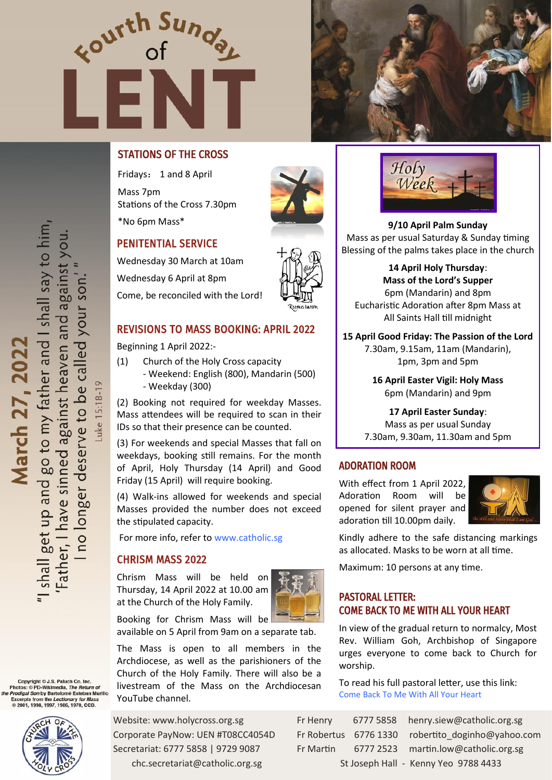



# STATIONS OF THE CROSS

Fridays: 1 and 8 April Mass 7pm Stations of the Cross 7.30pm

# PENITENTIAL SERVICE

Wednesday 30 March at 10am Wednesday 6 April at 8pm Come, be reconciled with the Lord!



Beginning 1 April 2022:-

- (1) Church of the Holy Cross capacity - Weekend: English (800), Mandarin (500)
	- Weekday (300)

(2) Booking not required for weekday Masses. Mass attendees will be required to scan in their IDs so that their presence can be counted.

(3) For weekends and special Masses that fall on weekdays, booking still remains. For the month of April, Holy Thursday (14 April) and Good Friday (15 April) will require booking.

(4) Walk-ins allowed for weekends and special Masses provided the number does not exceed the stipulated capacity.

For more info, refer to [www.catholic.sg](https://www.catholic.sg/resumption-of-mass48/)

#### CHRISM MASS 2022

Chrism Mass will be held on Thursday, 14 April 2022 at 10.00 am at the Church of the Holy Family.



Booking for Chrism Mass will be available on 5 April from 9am on a separate tab.

The Mass is open to all members in the Archdiocese, as well as the parishioners of the Church of the Holy Family. There will also be a livestream of the Mass on the Archdiocesan YouTube channel.

Website: www.holycross.org.sg Corporate PayNow: UEN #T08CC4054D Secretariat: 6777 5858 | 9729 9087 chc.secretariat@catholic.org.sg



\*No 6pm Mass\* **9/10 April Palm Sunday**  Mass as per usual Saturday & Sunday timing Blessing of the palms takes place in the church

> **14 April Holy Thursday**: **Mass of the Lord's Supper** 6pm (Mandarin) and 8pm Eucharistic Adoration after 8pm Mass at All Saints Hall till midnight

**15 April Good Friday: The Passion of the Lord**  7.30am, 9.15am, 11am (Mandarin), 1pm, 3pm and 5pm

> **16 April Easter Vigil: Holy Mass**  6pm (Mandarin) and 9pm

**17 April Easter Sunday**: Mass as per usual Sunday 7.30am, 9.30am, 11.30am and 5pm

#### ADORATION ROOM

With effect from 1 April 2022, Adoration Room will be opened for silent prayer and adoration till 10.00pm daily.



Kindly adhere to the safe distancing markings as allocated. Masks to be worn at all time.

Maximum: 10 persons at any time.

### PASTORAL LETTER: COME BACK TO ME WITH ALL YOUR HEART

In view of the gradual return to normalcy, Most Rev. William Goh, Archbishop of Singapore urges everyone to come back to Church for worship.

To read his full pastoral letter, use this link: [Come Back To Me With All Your Heart](https://www.catholic.sg/come-back-to-me-with-all-your-heart/) 

| Fr Henry                             |  | 6777 5858 henry.siew@catholic.org.sg              |
|--------------------------------------|--|---------------------------------------------------|
|                                      |  | Fr Robertus 6776 1330 robertito doginho@yahoo.com |
| Fr Martin -                          |  | 6777 2523 martin.low@catholic.org.sg              |
| St Joseph Hall - Kenny Yeo 9788 4433 |  |                                                   |

-uke 15:18-19

Copyright © J.S. Paluch Co. Inc.<br>Photos: © PD-Wikimedia, *The Return of*<br>P*rodigal Son* by Bartolomé Esteban Murillo Excerpts from the *Lectionary for Mas*:<br>© 2001, 1998, 1997, 1986, 1970, CCD.